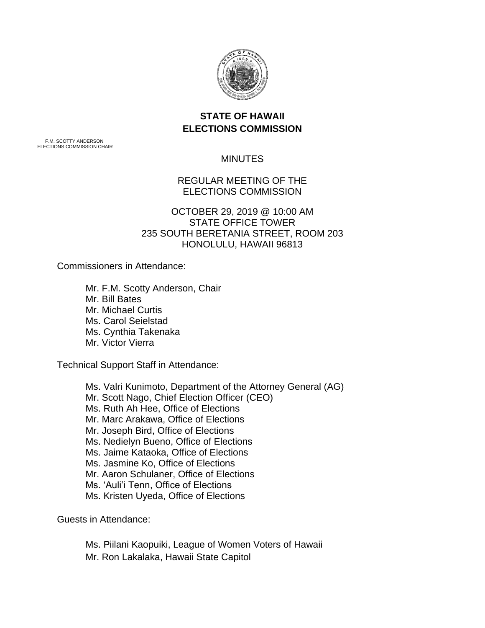

## **STATE OF HAWAII ELECTIONS COMMISSION**

F.M. SCOTTY ANDERSON ELECTIONS COMMISSION CHAIR

MINUTES

REGULAR MEETING OF THE ELECTIONS COMMISSION

OCTOBER 29, 2019 @ 10:00 AM STATE OFFICE TOWER 235 SOUTH BERETANIA STREET, ROOM 203 HONOLULU, HAWAII 96813

Commissioners in Attendance:

Mr. F.M. Scotty Anderson, Chair Mr. Bill Bates Mr. Michael Curtis Ms. Carol Seielstad Ms. Cynthia Takenaka Mr. Victor Vierra

Technical Support Staff in Attendance:

Ms. Valri Kunimoto, Department of the Attorney General (AG) Mr. Scott Nago, Chief Election Officer (CEO) Ms. Ruth Ah Hee, Office of Elections Mr. Marc Arakawa, Office of Elections Mr. Joseph Bird, Office of Elections Ms. Nedielyn Bueno, Office of Elections Ms. Jaime Kataoka, Office of Elections Ms. Jasmine Ko, Office of Elections Mr. Aaron Schulaner, Office of Elections Ms. 'Auli'i Tenn, Office of Elections Ms. Kristen Uyeda, Office of Elections

Guests in Attendance:

Ms. Piilani Kaopuiki, League of Women Voters of Hawaii Mr. Ron Lakalaka, Hawaii State Capitol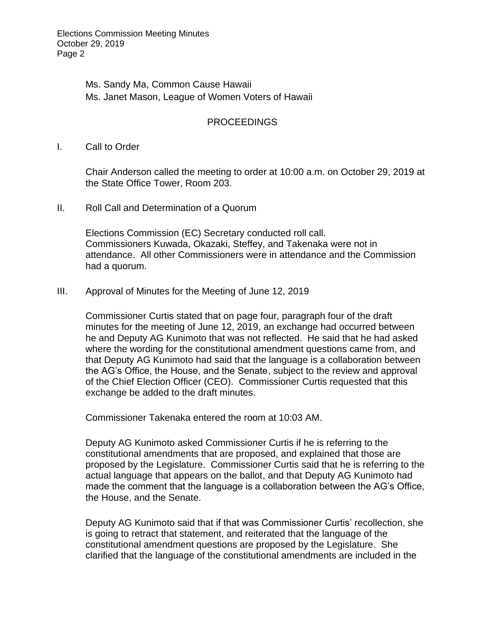Elections Commission Meeting Minutes October 29, 2019 Page 2

> Ms. Sandy Ma, Common Cause Hawaii Ms. Janet Mason, League of Women Voters of Hawaii

## PROCEEDINGS

I. Call to Order

Chair Anderson called the meeting to order at 10:00 a.m. on October 29, 2019 at the State Office Tower, Room 203.

II. Roll Call and Determination of a Quorum

Elections Commission (EC) Secretary conducted roll call. Commissioners Kuwada, Okazaki, Steffey, and Takenaka were not in attendance. All other Commissioners were in attendance and the Commission had a quorum.

III. Approval of Minutes for the Meeting of June 12, 2019

Commissioner Curtis stated that on page four, paragraph four of the draft minutes for the meeting of June 12, 2019, an exchange had occurred between he and Deputy AG Kunimoto that was not reflected. He said that he had asked where the wording for the constitutional amendment questions came from, and that Deputy AG Kunimoto had said that the language is a collaboration between the AG's Office, the House, and the Senate, subject to the review and approval of the Chief Election Officer (CEO). Commissioner Curtis requested that this exchange be added to the draft minutes.

Commissioner Takenaka entered the room at 10:03 AM.

Deputy AG Kunimoto asked Commissioner Curtis if he is referring to the constitutional amendments that are proposed, and explained that those are proposed by the Legislature. Commissioner Curtis said that he is referring to the actual language that appears on the ballot, and that Deputy AG Kunimoto had made the comment that the language is a collaboration between the AG's Office, the House, and the Senate.

Deputy AG Kunimoto said that if that was Commissioner Curtis' recollection, she is going to retract that statement, and reiterated that the language of the constitutional amendment questions are proposed by the Legislature. She clarified that the language of the constitutional amendments are included in the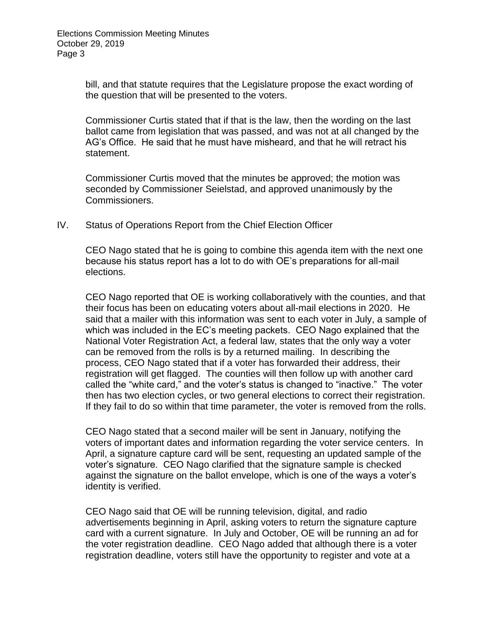bill, and that statute requires that the Legislature propose the exact wording of the question that will be presented to the voters.

Commissioner Curtis stated that if that is the law, then the wording on the last ballot came from legislation that was passed, and was not at all changed by the AG's Office. He said that he must have misheard, and that he will retract his statement.

Commissioner Curtis moved that the minutes be approved; the motion was seconded by Commissioner Seielstad, and approved unanimously by the Commissioners.

IV. Status of Operations Report from the Chief Election Officer

CEO Nago stated that he is going to combine this agenda item with the next one because his status report has a lot to do with OE's preparations for all-mail elections.

CEO Nago reported that OE is working collaboratively with the counties, and that their focus has been on educating voters about all-mail elections in 2020. He said that a mailer with this information was sent to each voter in July, a sample of which was included in the EC's meeting packets. CEO Nago explained that the National Voter Registration Act, a federal law, states that the only way a voter can be removed from the rolls is by a returned mailing. In describing the process, CEO Nago stated that if a voter has forwarded their address, their registration will get flagged. The counties will then follow up with another card called the "white card," and the voter's status is changed to "inactive." The voter then has two election cycles, or two general elections to correct their registration. If they fail to do so within that time parameter, the voter is removed from the rolls.

CEO Nago stated that a second mailer will be sent in January, notifying the voters of important dates and information regarding the voter service centers. In April, a signature capture card will be sent, requesting an updated sample of the voter's signature. CEO Nago clarified that the signature sample is checked against the signature on the ballot envelope, which is one of the ways a voter's identity is verified.

CEO Nago said that OE will be running television, digital, and radio advertisements beginning in April, asking voters to return the signature capture card with a current signature. In July and October, OE will be running an ad for the voter registration deadline. CEO Nago added that although there is a voter registration deadline, voters still have the opportunity to register and vote at a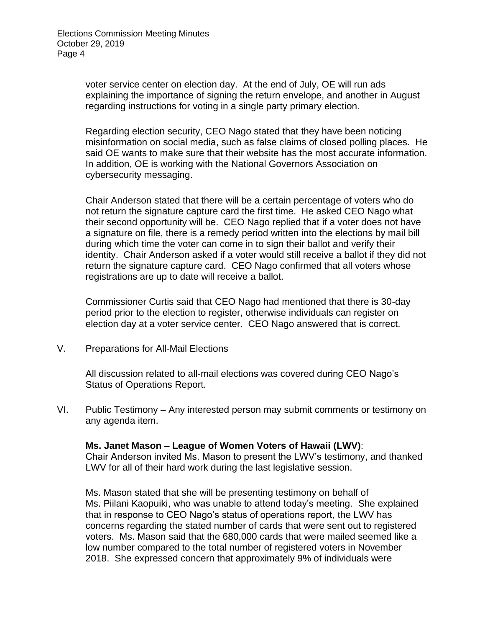voter service center on election day. At the end of July, OE will run ads explaining the importance of signing the return envelope, and another in August regarding instructions for voting in a single party primary election.

Regarding election security, CEO Nago stated that they have been noticing misinformation on social media, such as false claims of closed polling places. He said OE wants to make sure that their website has the most accurate information. In addition, OE is working with the National Governors Association on cybersecurity messaging.

Chair Anderson stated that there will be a certain percentage of voters who do not return the signature capture card the first time. He asked CEO Nago what their second opportunity will be. CEO Nago replied that if a voter does not have a signature on file, there is a remedy period written into the elections by mail bill during which time the voter can come in to sign their ballot and verify their identity. Chair Anderson asked if a voter would still receive a ballot if they did not return the signature capture card. CEO Nago confirmed that all voters whose registrations are up to date will receive a ballot.

Commissioner Curtis said that CEO Nago had mentioned that there is 30-day period prior to the election to register, otherwise individuals can register on election day at a voter service center. CEO Nago answered that is correct.

V. Preparations for All-Mail Elections

All discussion related to all-mail elections was covered during CEO Nago's Status of Operations Report.

VI. Public Testimony – Any interested person may submit comments or testimony on any agenda item.

**Ms. Janet Mason – League of Women Voters of Hawaii (LWV)**: Chair Anderson invited Ms. Mason to present the LWV's testimony, and thanked LWV for all of their hard work during the last legislative session.

Ms. Mason stated that she will be presenting testimony on behalf of Ms. Piilani Kaopuiki, who was unable to attend today's meeting. She explained that in response to CEO Nago's status of operations report, the LWV has concerns regarding the stated number of cards that were sent out to registered voters. Ms. Mason said that the 680,000 cards that were mailed seemed like a low number compared to the total number of registered voters in November 2018. She expressed concern that approximately 9% of individuals were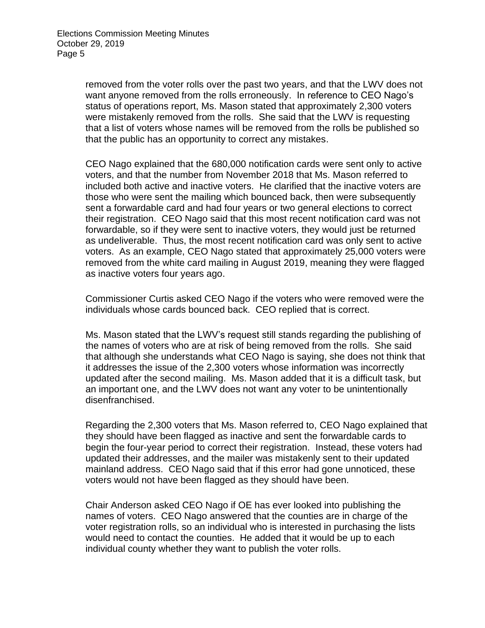removed from the voter rolls over the past two years, and that the LWV does not want anyone removed from the rolls erroneously. In reference to CEO Nago's status of operations report, Ms. Mason stated that approximately 2,300 voters were mistakenly removed from the rolls. She said that the LWV is requesting that a list of voters whose names will be removed from the rolls be published so that the public has an opportunity to correct any mistakes.

CEO Nago explained that the 680,000 notification cards were sent only to active voters, and that the number from November 2018 that Ms. Mason referred to included both active and inactive voters. He clarified that the inactive voters are those who were sent the mailing which bounced back, then were subsequently sent a forwardable card and had four years or two general elections to correct their registration. CEO Nago said that this most recent notification card was not forwardable, so if they were sent to inactive voters, they would just be returned as undeliverable. Thus, the most recent notification card was only sent to active voters. As an example, CEO Nago stated that approximately 25,000 voters were removed from the white card mailing in August 2019, meaning they were flagged as inactive voters four years ago.

Commissioner Curtis asked CEO Nago if the voters who were removed were the individuals whose cards bounced back. CEO replied that is correct.

Ms. Mason stated that the LWV's request still stands regarding the publishing of the names of voters who are at risk of being removed from the rolls. She said that although she understands what CEO Nago is saying, she does not think that it addresses the issue of the 2,300 voters whose information was incorrectly updated after the second mailing. Ms. Mason added that it is a difficult task, but an important one, and the LWV does not want any voter to be unintentionally disenfranchised.

Regarding the 2,300 voters that Ms. Mason referred to, CEO Nago explained that they should have been flagged as inactive and sent the forwardable cards to begin the four-year period to correct their registration. Instead, these voters had updated their addresses, and the mailer was mistakenly sent to their updated mainland address. CEO Nago said that if this error had gone unnoticed, these voters would not have been flagged as they should have been.

Chair Anderson asked CEO Nago if OE has ever looked into publishing the names of voters. CEO Nago answered that the counties are in charge of the voter registration rolls, so an individual who is interested in purchasing the lists would need to contact the counties. He added that it would be up to each individual county whether they want to publish the voter rolls.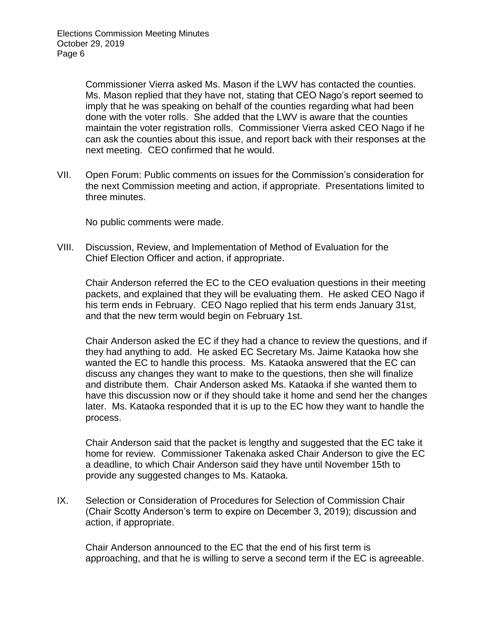Commissioner Vierra asked Ms. Mason if the LWV has contacted the counties. Ms. Mason replied that they have not, stating that CEO Nago's report seemed to imply that he was speaking on behalf of the counties regarding what had been done with the voter rolls. She added that the LWV is aware that the counties maintain the voter registration rolls. Commissioner Vierra asked CEO Nago if he can ask the counties about this issue, and report back with their responses at the next meeting. CEO confirmed that he would.

VII. Open Forum: Public comments on issues for the Commission's consideration for the next Commission meeting and action, if appropriate. Presentations limited to three minutes.

No public comments were made.

VIII. Discussion, Review, and Implementation of Method of Evaluation for the Chief Election Officer and action, if appropriate.

Chair Anderson referred the EC to the CEO evaluation questions in their meeting packets, and explained that they will be evaluating them. He asked CEO Nago if his term ends in February. CEO Nago replied that his term ends January 31st, and that the new term would begin on February 1st.

Chair Anderson asked the EC if they had a chance to review the questions, and if they had anything to add. He asked EC Secretary Ms. Jaime Kataoka how she wanted the EC to handle this process. Ms. Kataoka answered that the EC can discuss any changes they want to make to the questions, then she will finalize and distribute them. Chair Anderson asked Ms. Kataoka if she wanted them to have this discussion now or if they should take it home and send her the changes later. Ms. Kataoka responded that it is up to the EC how they want to handle the process.

Chair Anderson said that the packet is lengthy and suggested that the EC take it home for review. Commissioner Takenaka asked Chair Anderson to give the EC a deadline, to which Chair Anderson said they have until November 15th to provide any suggested changes to Ms. Kataoka.

IX. Selection or Consideration of Procedures for Selection of Commission Chair (Chair Scotty Anderson's term to expire on December 3, 2019); discussion and action, if appropriate.

Chair Anderson announced to the EC that the end of his first term is approaching, and that he is willing to serve a second term if the EC is agreeable.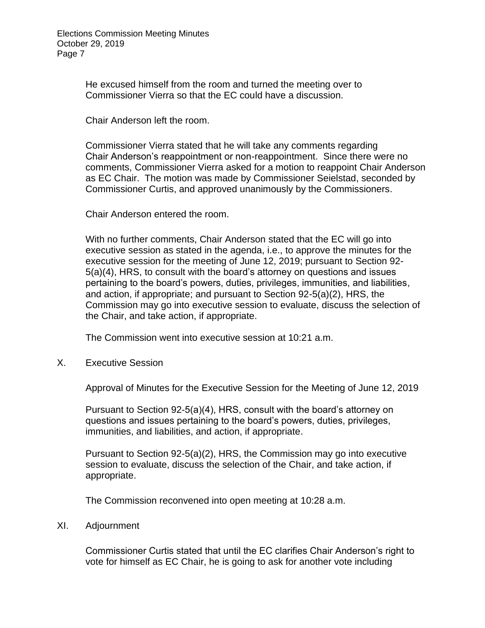He excused himself from the room and turned the meeting over to Commissioner Vierra so that the EC could have a discussion.

Chair Anderson left the room.

Commissioner Vierra stated that he will take any comments regarding Chair Anderson's reappointment or non-reappointment. Since there were no comments, Commissioner Vierra asked for a motion to reappoint Chair Anderson as EC Chair. The motion was made by Commissioner Seielstad, seconded by Commissioner Curtis, and approved unanimously by the Commissioners.

Chair Anderson entered the room.

With no further comments, Chair Anderson stated that the EC will go into executive session as stated in the agenda, i.e., to approve the minutes for the executive session for the meeting of June 12, 2019; pursuant to Section 92- 5(a)(4), HRS, to consult with the board's attorney on questions and issues pertaining to the board's powers, duties, privileges, immunities, and liabilities, and action, if appropriate; and pursuant to Section 92-5(a)(2), HRS, the Commission may go into executive session to evaluate, discuss the selection of the Chair, and take action, if appropriate.

The Commission went into executive session at 10:21 a.m.

X. Executive Session

Approval of Minutes for the Executive Session for the Meeting of June 12, 2019

Pursuant to Section 92-5(a)(4), HRS, consult with the board's attorney on questions and issues pertaining to the board's powers, duties, privileges, immunities, and liabilities, and action, if appropriate.

Pursuant to Section 92-5(a)(2), HRS, the Commission may go into executive session to evaluate, discuss the selection of the Chair, and take action, if appropriate.

The Commission reconvened into open meeting at 10:28 a.m.

## XI. Adjournment

Commissioner Curtis stated that until the EC clarifies Chair Anderson's right to vote for himself as EC Chair, he is going to ask for another vote including